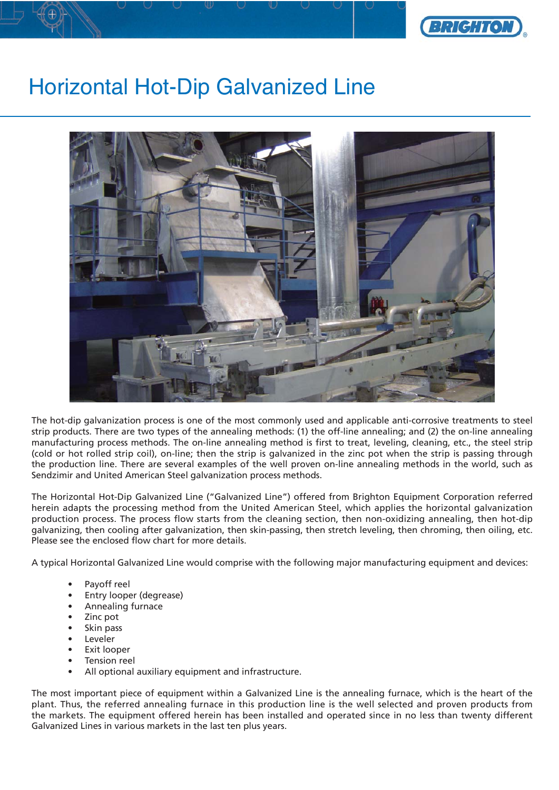

# Horizontal Hot-Dip Galvanized Line



The hot-dip galvanization process is one of the most commonly used and applicable anti-corrosive treatments to steel strip products. There are two types of the annealing methods: (1) the off-line annealing; and (2) the on-line annealing manufacturing process methods. The on-line annealing method is first to treat, leveling, cleaning, etc., the steel strip (cold or hot rolled strip coil), on-line; then the strip is galvanized in the zinc pot when the strip is passing through the production line. There are several examples of the well proven on-line annealing methods in the world, such as Sendzimir and United American Steel galvanization process methods.

The Horizontal Hot-Dip Galvanized Line ("Galvanized Line") offered from Brighton Equipment Corporation referred herein adapts the processing method from the United American Steel, which applies the horizontal galvanization production process. The process flow starts from the cleaning section, then non-oxidizing annealing, then hot-dip galvanizing, then cooling after galvanization, then skin-passing, then stretch leveling, then chroming, then oiling, etc. Please see the enclosed flow chart for more details.

A typical Horizontal Galvanized Line would comprise with the following major manufacturing equipment and devices:

- Payoff reel
- Entry looper (degrease)
- Annealing furnace
- Zinc pot
- Skin pass
- **Leveler**
- Exit looper
- Tension reel
- All optional auxiliary equipment and infrastructure.

The most important piece of equipment within a Galvanized Line is the annealing furnace, which is the heart of the plant. Thus, the referred annealing furnace in this production line is the well selected and proven products from the markets. The equipment offered herein has been installed and operated since in no less than twenty different Galvanized Lines in various markets in the last ten plus years.